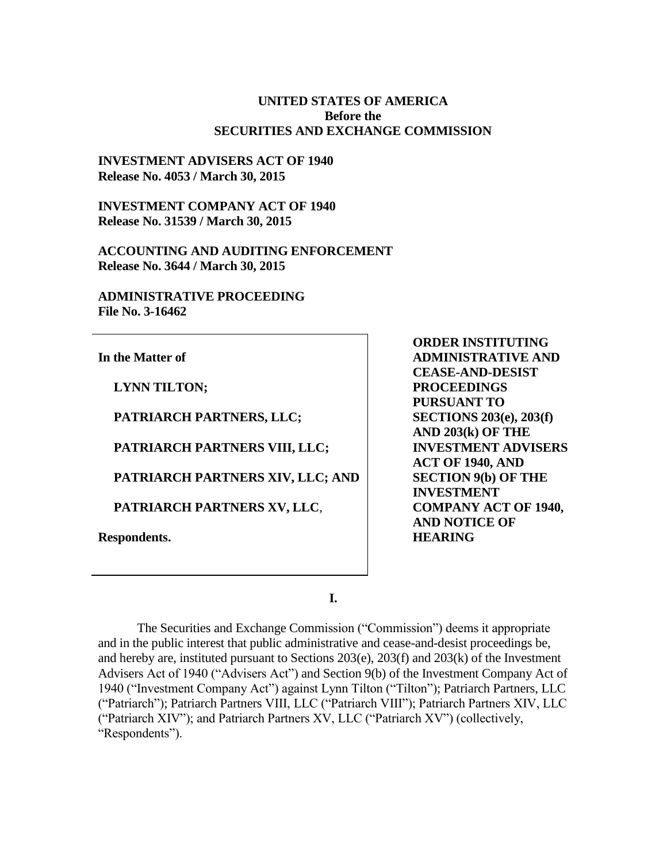#### **UNITED STATES OF AMERICA Before the SECURITIES AND EXCHANGE COMMISSION**

#### **INVESTMENT ADVISERS ACT OF 1940 Release No. 4053 / March 30, 2015**

**INVESTMENT COMPANY ACT OF 1940 Release No. 31539 / March 30, 2015**

**ACCOUNTING AND AUDITING ENFORCEMENT Release No. 3644 / March 30, 2015**

**ADMINISTRATIVE PROCEEDING File No. 3-16462**

**In the Matter of**

**LYNN TILTON;**

**PATRIARCH PARTNERS, LLC;**

**PATRIARCH PARTNERS VIII, LLC;**

**PATRIARCH PARTNERS XIV, LLC; AND**

**PATRIARCH PARTNERS XV, LLC**,

**Respondents.**

**ORDER INSTITUTING ADMINISTRATIVE AND CEASE-AND-DESIST PROCEEDINGS PURSUANT TO SECTIONS 203(e), 203(f) AND 203(k) OF THE INVESTMENT ADVISERS ACT OF 1940, AND SECTION 9(b) OF THE INVESTMENT COMPANY ACT OF 1940, AND NOTICE OF HEARING**

**I.**

The Securities and Exchange Commission ("Commission") deems it appropriate and in the public interest that public administrative and cease-and-desist proceedings be, and hereby are, instituted pursuant to Sections 203(e), 203(f) and 203(k) of the Investment Advisers Act of 1940 ("Advisers Act") and Section 9(b) of the Investment Company Act of 1940 ("Investment Company Act") against Lynn Tilton ("Tilton"); Patriarch Partners, LLC ("Patriarch"); Patriarch Partners VIII, LLC ("Patriarch VIII"); Patriarch Partners XIV, LLC ("Patriarch XIV"); and Patriarch Partners XV, LLC ("Patriarch XV") (collectively, "Respondents").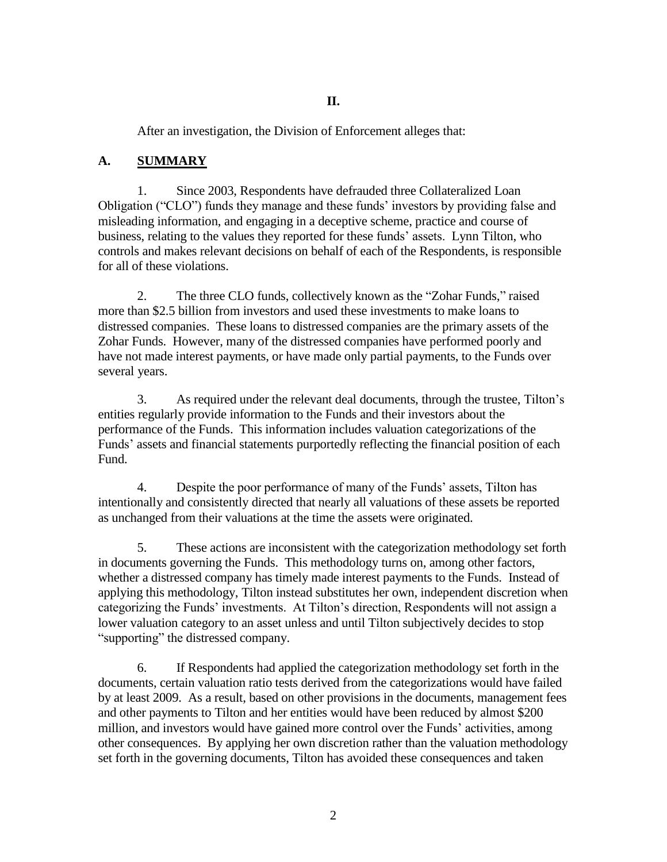After an investigation, the Division of Enforcement alleges that:

## **A. SUMMARY**

1. Since 2003, Respondents have defrauded three Collateralized Loan Obligation ("CLO") funds they manage and these funds' investors by providing false and misleading information, and engaging in a deceptive scheme, practice and course of business, relating to the values they reported for these funds' assets. Lynn Tilton, who controls and makes relevant decisions on behalf of each of the Respondents, is responsible for all of these violations.

2. The three CLO funds, collectively known as the "Zohar Funds," raised more than \$2.5 billion from investors and used these investments to make loans to distressed companies. These loans to distressed companies are the primary assets of the Zohar Funds. However, many of the distressed companies have performed poorly and have not made interest payments, or have made only partial payments, to the Funds over several years.

3. As required under the relevant deal documents, through the trustee, Tilton's entities regularly provide information to the Funds and their investors about the performance of the Funds. This information includes valuation categorizations of the Funds' assets and financial statements purportedly reflecting the financial position of each Fund.

4. Despite the poor performance of many of the Funds' assets, Tilton has intentionally and consistently directed that nearly all valuations of these assets be reported as unchanged from their valuations at the time the assets were originated.

5. These actions are inconsistent with the categorization methodology set forth in documents governing the Funds. This methodology turns on, among other factors, whether a distressed company has timely made interest payments to the Funds. Instead of applying this methodology, Tilton instead substitutes her own, independent discretion when categorizing the Funds' investments. At Tilton's direction, Respondents will not assign a lower valuation category to an asset unless and until Tilton subjectively decides to stop "supporting" the distressed company.

6. If Respondents had applied the categorization methodology set forth in the documents, certain valuation ratio tests derived from the categorizations would have failed by at least 2009. As a result, based on other provisions in the documents, management fees and other payments to Tilton and her entities would have been reduced by almost \$200 million, and investors would have gained more control over the Funds' activities, among other consequences. By applying her own discretion rather than the valuation methodology set forth in the governing documents, Tilton has avoided these consequences and taken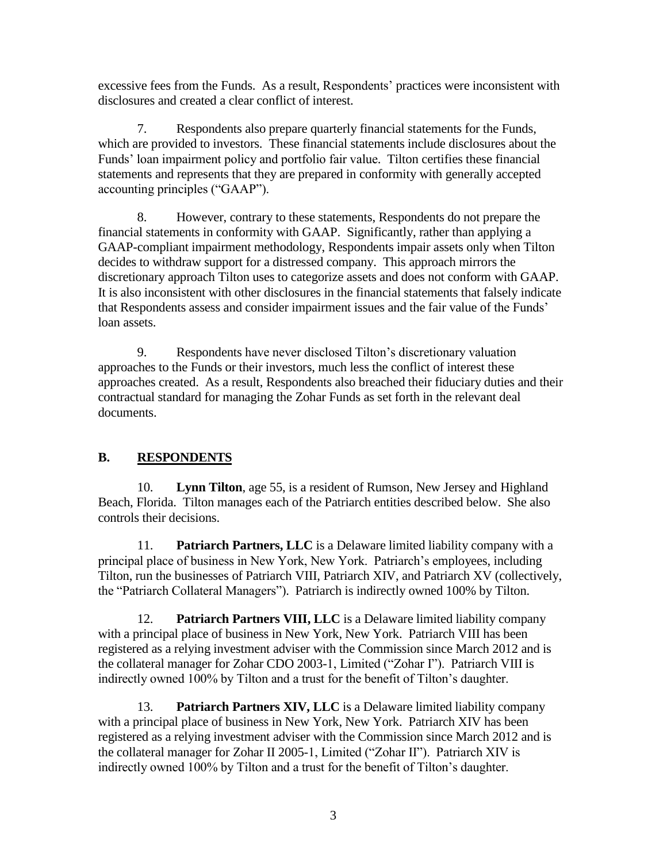excessive fees from the Funds. As a result, Respondents' practices were inconsistent with disclosures and created a clear conflict of interest.

7. Respondents also prepare quarterly financial statements for the Funds, which are provided to investors. These financial statements include disclosures about the Funds' loan impairment policy and portfolio fair value. Tilton certifies these financial statements and represents that they are prepared in conformity with generally accepted accounting principles ("GAAP").

8. However, contrary to these statements, Respondents do not prepare the financial statements in conformity with GAAP. Significantly, rather than applying a GAAP-compliant impairment methodology, Respondents impair assets only when Tilton decides to withdraw support for a distressed company. This approach mirrors the discretionary approach Tilton uses to categorize assets and does not conform with GAAP. It is also inconsistent with other disclosures in the financial statements that falsely indicate that Respondents assess and consider impairment issues and the fair value of the Funds' loan assets.

9. Respondents have never disclosed Tilton's discretionary valuation approaches to the Funds or their investors, much less the conflict of interest these approaches created. As a result, Respondents also breached their fiduciary duties and their contractual standard for managing the Zohar Funds as set forth in the relevant deal documents.

# **B. RESPONDENTS**

10. **Lynn Tilton**, age 55, is a resident of Rumson, New Jersey and Highland Beach, Florida. Tilton manages each of the Patriarch entities described below. She also controls their decisions.

11. **Patriarch Partners, LLC** is a Delaware limited liability company with a principal place of business in New York, New York. Patriarch's employees, including Tilton, run the businesses of Patriarch VIII, Patriarch XIV, and Patriarch XV (collectively, the "Patriarch Collateral Managers"). Patriarch is indirectly owned 100% by Tilton.

12. **Patriarch Partners VIII, LLC** is a Delaware limited liability company with a principal place of business in New York, New York. Patriarch VIII has been registered as a relying investment adviser with the Commission since March 2012 and is the collateral manager for Zohar CDO 2003-1, Limited ("Zohar I"). Patriarch VIII is indirectly owned 100% by Tilton and a trust for the benefit of Tilton's daughter.

13. **Patriarch Partners XIV, LLC** is a Delaware limited liability company with a principal place of business in New York, New York. Patriarch XIV has been registered as a relying investment adviser with the Commission since March 2012 and is the collateral manager for Zohar II 2005-1, Limited ("Zohar II"). Patriarch XIV is indirectly owned 100% by Tilton and a trust for the benefit of Tilton's daughter.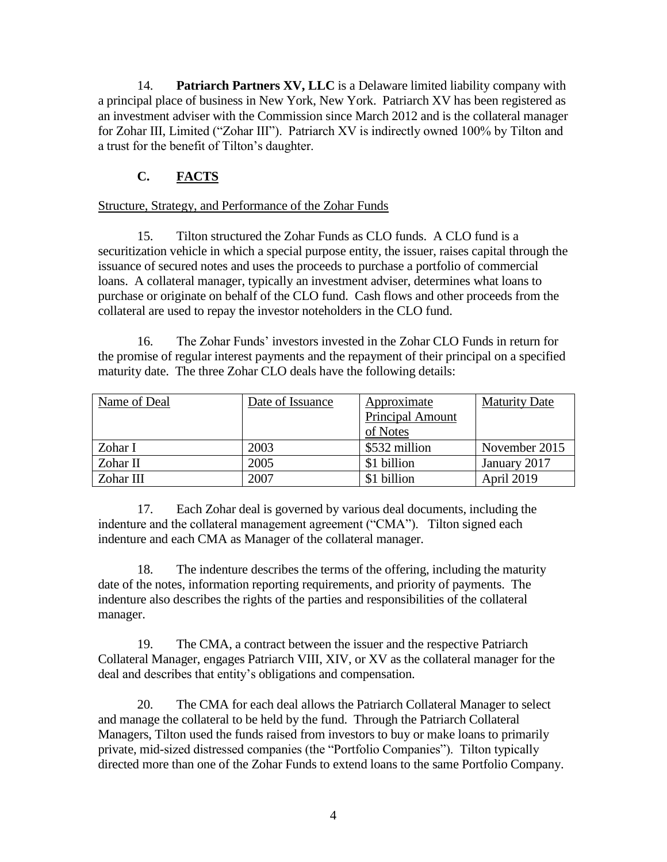14. **Patriarch Partners XV, LLC** is a Delaware limited liability company with a principal place of business in New York, New York. Patriarch XV has been registered as an investment adviser with the Commission since March 2012 and is the collateral manager for Zohar III, Limited ("Zohar III"). Patriarch XV is indirectly owned 100% by Tilton and a trust for the benefit of Tilton's daughter.

# **C. FACTS**

## Structure, Strategy, and Performance of the Zohar Funds

15. Tilton structured the Zohar Funds as CLO funds. A CLO fund is a securitization vehicle in which a special purpose entity, the issuer, raises capital through the issuance of secured notes and uses the proceeds to purchase a portfolio of commercial loans. A collateral manager, typically an investment adviser, determines what loans to purchase or originate on behalf of the CLO fund. Cash flows and other proceeds from the collateral are used to repay the investor noteholders in the CLO fund.

16. The Zohar Funds' investors invested in the Zohar CLO Funds in return for the promise of regular interest payments and the repayment of their principal on a specified maturity date. The three Zohar CLO deals have the following details:

| Name of Deal | Date of Issuance | Approximate      | <b>Maturity Date</b> |
|--------------|------------------|------------------|----------------------|
|              |                  | Principal Amount |                      |
|              |                  | of Notes         |                      |
| Zohar I      | 2003             | \$532 million    | November 2015        |
| Zohar II     | 2005             | \$1 billion      | January 2017         |
| Zohar III    | 2007             | \$1 billion      | April 2019           |

17. Each Zohar deal is governed by various deal documents, including the indenture and the collateral management agreement ("CMA"). Tilton signed each indenture and each CMA as Manager of the collateral manager.

18. The indenture describes the terms of the offering, including the maturity date of the notes, information reporting requirements, and priority of payments. The indenture also describes the rights of the parties and responsibilities of the collateral manager.

19. The CMA, a contract between the issuer and the respective Patriarch Collateral Manager, engages Patriarch VIII, XIV, or XV as the collateral manager for the deal and describes that entity's obligations and compensation.

20. The CMA for each deal allows the Patriarch Collateral Manager to select and manage the collateral to be held by the fund. Through the Patriarch Collateral Managers, Tilton used the funds raised from investors to buy or make loans to primarily private, mid-sized distressed companies (the "Portfolio Companies"). Tilton typically directed more than one of the Zohar Funds to extend loans to the same Portfolio Company.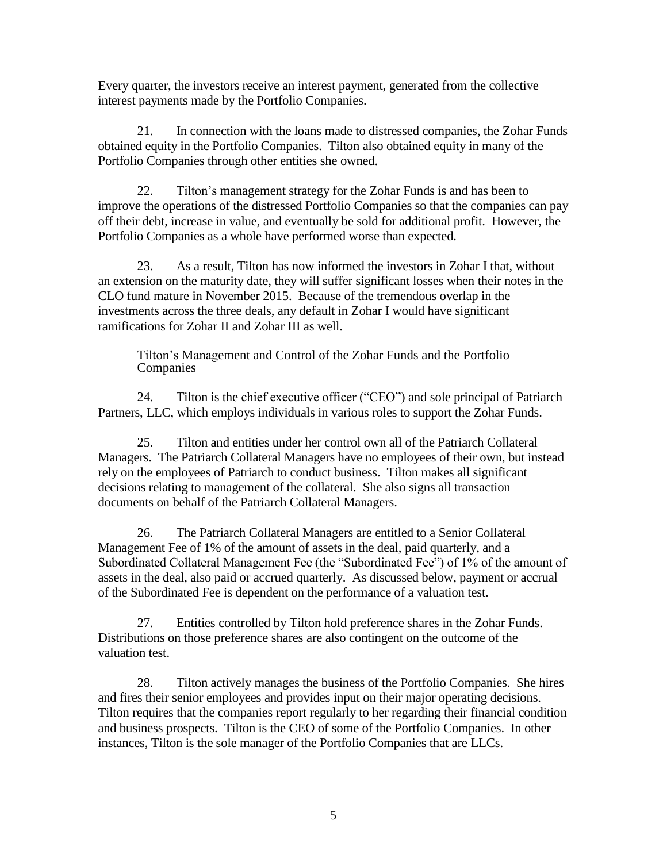Every quarter, the investors receive an interest payment, generated from the collective interest payments made by the Portfolio Companies.

21. In connection with the loans made to distressed companies, the Zohar Funds obtained equity in the Portfolio Companies. Tilton also obtained equity in many of the Portfolio Companies through other entities she owned.

22. Tilton's management strategy for the Zohar Funds is and has been to improve the operations of the distressed Portfolio Companies so that the companies can pay off their debt, increase in value, and eventually be sold for additional profit. However, the Portfolio Companies as a whole have performed worse than expected.

23. As a result, Tilton has now informed the investors in Zohar I that, without an extension on the maturity date, they will suffer significant losses when their notes in the CLO fund mature in November 2015. Because of the tremendous overlap in the investments across the three deals, any default in Zohar I would have significant ramifications for Zohar II and Zohar III as well.

## Tilton's Management and Control of the Zohar Funds and the Portfolio **Companies**

24. Tilton is the chief executive officer ("CEO") and sole principal of Patriarch Partners, LLC, which employs individuals in various roles to support the Zohar Funds.

25. Tilton and entities under her control own all of the Patriarch Collateral Managers. The Patriarch Collateral Managers have no employees of their own, but instead rely on the employees of Patriarch to conduct business. Tilton makes all significant decisions relating to management of the collateral. She also signs all transaction documents on behalf of the Patriarch Collateral Managers.

26. The Patriarch Collateral Managers are entitled to a Senior Collateral Management Fee of 1% of the amount of assets in the deal, paid quarterly, and a Subordinated Collateral Management Fee (the "Subordinated Fee") of 1% of the amount of assets in the deal, also paid or accrued quarterly. As discussed below, payment or accrual of the Subordinated Fee is dependent on the performance of a valuation test.

27. Entities controlled by Tilton hold preference shares in the Zohar Funds. Distributions on those preference shares are also contingent on the outcome of the valuation test.

28. Tilton actively manages the business of the Portfolio Companies. She hires and fires their senior employees and provides input on their major operating decisions. Tilton requires that the companies report regularly to her regarding their financial condition and business prospects. Tilton is the CEO of some of the Portfolio Companies. In other instances, Tilton is the sole manager of the Portfolio Companies that are LLCs.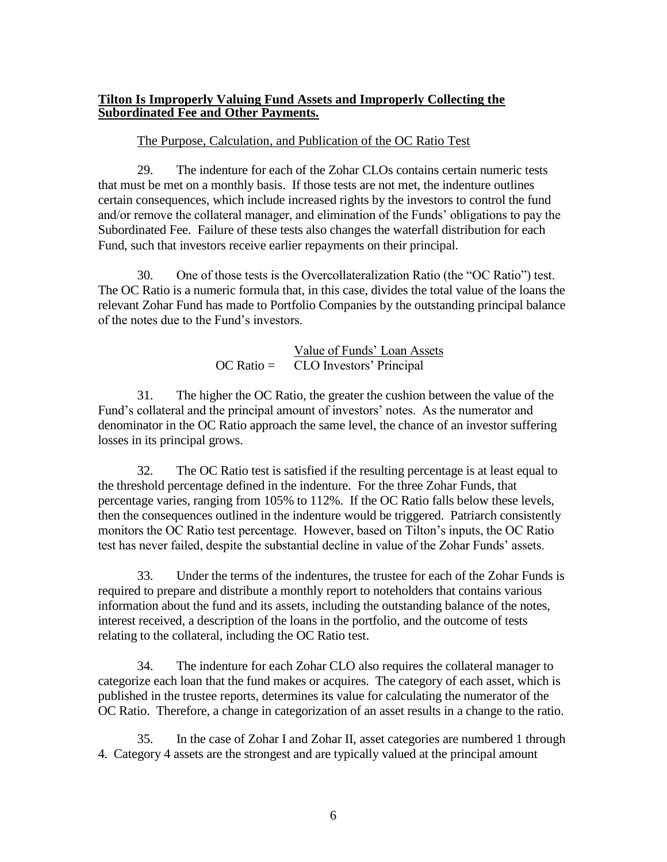#### **Tilton Is Improperly Valuing Fund Assets and Improperly Collecting the Subordinated Fee and Other Payments.**

#### The Purpose, Calculation, and Publication of the OC Ratio Test

29. The indenture for each of the Zohar CLOs contains certain numeric tests that must be met on a monthly basis. If those tests are not met, the indenture outlines certain consequences, which include increased rights by the investors to control the fund and/or remove the collateral manager, and elimination of the Funds' obligations to pay the Subordinated Fee. Failure of these tests also changes the waterfall distribution for each Fund, such that investors receive earlier repayments on their principal.

30. One of those tests is the Overcollateralization Ratio (the "OC Ratio") test. The OC Ratio is a numeric formula that, in this case, divides the total value of the loans the relevant Zohar Fund has made to Portfolio Companies by the outstanding principal balance of the notes due to the Fund's investors.

> Value of Funds' Loan Assets OC Ratio = CLO Investors' Principal

31. The higher the OC Ratio, the greater the cushion between the value of the Fund's collateral and the principal amount of investors' notes. As the numerator and denominator in the OC Ratio approach the same level, the chance of an investor suffering losses in its principal grows.

32. The OC Ratio test is satisfied if the resulting percentage is at least equal to the threshold percentage defined in the indenture. For the three Zohar Funds, that percentage varies, ranging from 105% to 112%. If the OC Ratio falls below these levels, then the consequences outlined in the indenture would be triggered. Patriarch consistently monitors the OC Ratio test percentage. However, based on Tilton's inputs, the OC Ratio test has never failed, despite the substantial decline in value of the Zohar Funds' assets.

33. Under the terms of the indentures, the trustee for each of the Zohar Funds is required to prepare and distribute a monthly report to noteholders that contains various information about the fund and its assets, including the outstanding balance of the notes, interest received, a description of the loans in the portfolio, and the outcome of tests relating to the collateral, including the OC Ratio test.

34. The indenture for each Zohar CLO also requires the collateral manager to categorize each loan that the fund makes or acquires. The category of each asset, which is published in the trustee reports, determines its value for calculating the numerator of the OC Ratio. Therefore, a change in categorization of an asset results in a change to the ratio.

35. In the case of Zohar I and Zohar II, asset categories are numbered 1 through 4. Category 4 assets are the strongest and are typically valued at the principal amount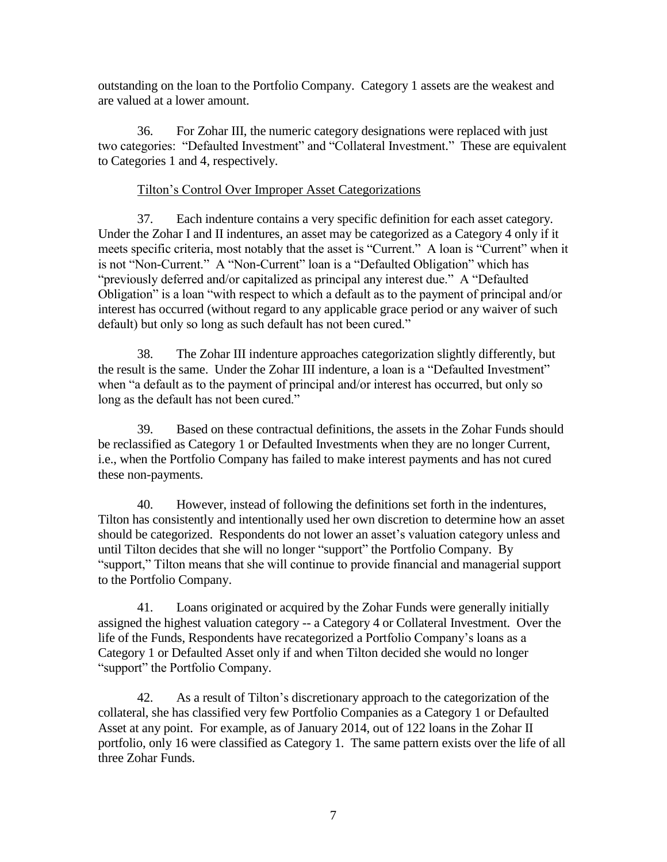outstanding on the loan to the Portfolio Company. Category 1 assets are the weakest and are valued at a lower amount.

36. For Zohar III, the numeric category designations were replaced with just two categories: "Defaulted Investment" and "Collateral Investment." These are equivalent to Categories 1 and 4, respectively.

## Tilton's Control Over Improper Asset Categorizations

37. Each indenture contains a very specific definition for each asset category. Under the Zohar I and II indentures, an asset may be categorized as a Category 4 only if it meets specific criteria, most notably that the asset is "Current." A loan is "Current" when it is not "Non-Current." A "Non-Current" loan is a "Defaulted Obligation" which has "previously deferred and/or capitalized as principal any interest due." A "Defaulted Obligation" is a loan "with respect to which a default as to the payment of principal and/or interest has occurred (without regard to any applicable grace period or any waiver of such default) but only so long as such default has not been cured."

38. The Zohar III indenture approaches categorization slightly differently, but the result is the same. Under the Zohar III indenture, a loan is a "Defaulted Investment" when "a default as to the payment of principal and/or interest has occurred, but only so long as the default has not been cured."

39. Based on these contractual definitions, the assets in the Zohar Funds should be reclassified as Category 1 or Defaulted Investments when they are no longer Current, i.e., when the Portfolio Company has failed to make interest payments and has not cured these non-payments.

40. However, instead of following the definitions set forth in the indentures, Tilton has consistently and intentionally used her own discretion to determine how an asset should be categorized. Respondents do not lower an asset's valuation category unless and until Tilton decides that she will no longer "support" the Portfolio Company. By "support," Tilton means that she will continue to provide financial and managerial support to the Portfolio Company.

41. Loans originated or acquired by the Zohar Funds were generally initially assigned the highest valuation category -- a Category 4 or Collateral Investment. Over the life of the Funds, Respondents have recategorized a Portfolio Company's loans as a Category 1 or Defaulted Asset only if and when Tilton decided she would no longer "support" the Portfolio Company.

42. As a result of Tilton's discretionary approach to the categorization of the collateral, she has classified very few Portfolio Companies as a Category 1 or Defaulted Asset at any point. For example, as of January 2014, out of 122 loans in the Zohar II portfolio, only 16 were classified as Category 1. The same pattern exists over the life of all three Zohar Funds.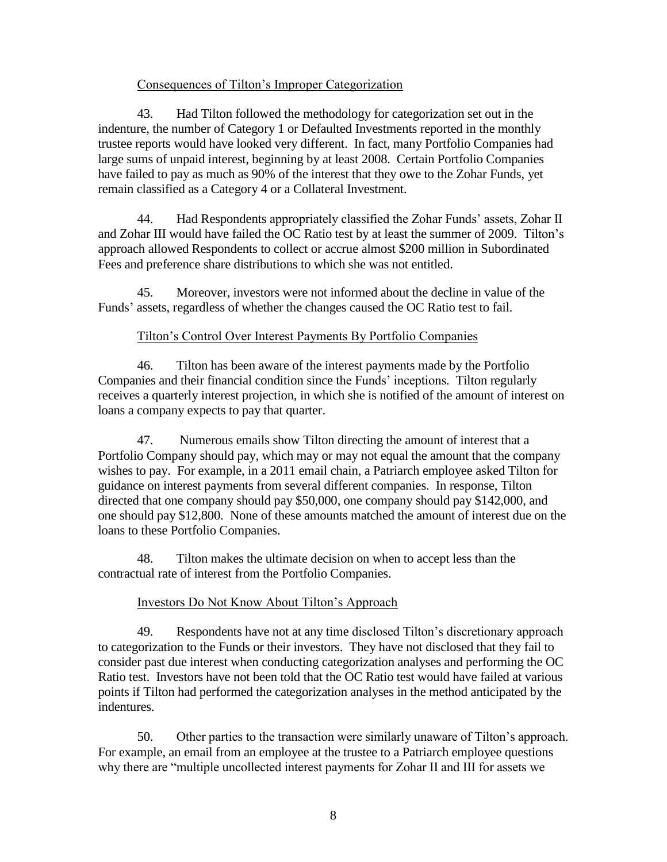#### Consequences of Tilton's Improper Categorization

43. Had Tilton followed the methodology for categorization set out in the indenture, the number of Category 1 or Defaulted Investments reported in the monthly trustee reports would have looked very different. In fact, many Portfolio Companies had large sums of unpaid interest, beginning by at least 2008. Certain Portfolio Companies have failed to pay as much as 90% of the interest that they owe to the Zohar Funds, yet remain classified as a Category 4 or a Collateral Investment.

44. Had Respondents appropriately classified the Zohar Funds' assets, Zohar II and Zohar III would have failed the OC Ratio test by at least the summer of 2009. Tilton's approach allowed Respondents to collect or accrue almost \$200 million in Subordinated Fees and preference share distributions to which she was not entitled.

45. Moreover, investors were not informed about the decline in value of the Funds' assets, regardless of whether the changes caused the OC Ratio test to fail.

## Tilton's Control Over Interest Payments By Portfolio Companies

46. Tilton has been aware of the interest payments made by the Portfolio Companies and their financial condition since the Funds' inceptions. Tilton regularly receives a quarterly interest projection, in which she is notified of the amount of interest on loans a company expects to pay that quarter.

47. Numerous emails show Tilton directing the amount of interest that a Portfolio Company should pay, which may or may not equal the amount that the company wishes to pay. For example, in a 2011 email chain, a Patriarch employee asked Tilton for guidance on interest payments from several different companies. In response, Tilton directed that one company should pay \$50,000, one company should pay \$142,000, and one should pay \$12,800. None of these amounts matched the amount of interest due on the loans to these Portfolio Companies.

48. Tilton makes the ultimate decision on when to accept less than the contractual rate of interest from the Portfolio Companies.

## Investors Do Not Know About Tilton's Approach

49. Respondents have not at any time disclosed Tilton's discretionary approach to categorization to the Funds or their investors. They have not disclosed that they fail to consider past due interest when conducting categorization analyses and performing the OC Ratio test. Investors have not been told that the OC Ratio test would have failed at various points if Tilton had performed the categorization analyses in the method anticipated by the indentures.

50. Other parties to the transaction were similarly unaware of Tilton's approach. For example, an email from an employee at the trustee to a Patriarch employee questions why there are "multiple uncollected interest payments for Zohar II and III for assets we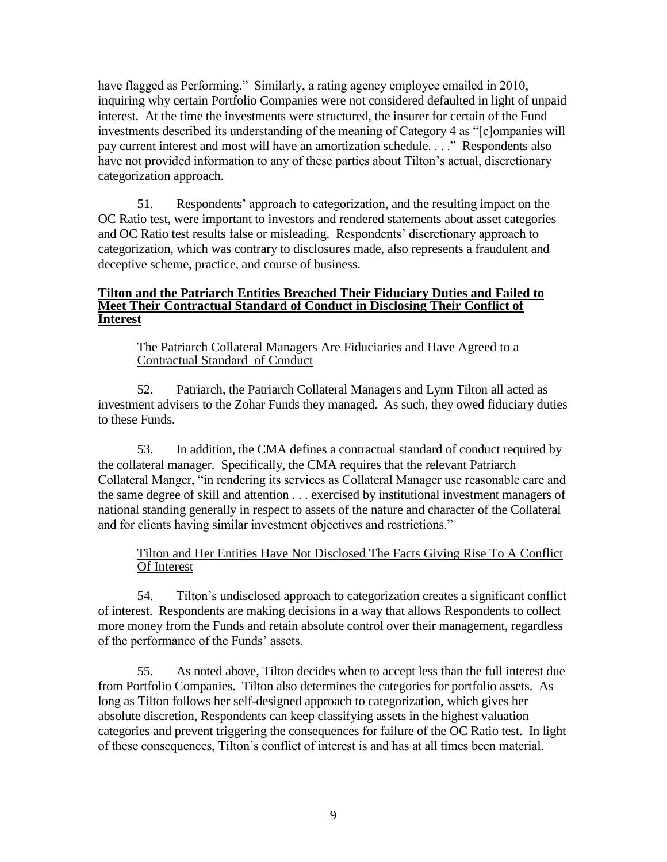have flagged as Performing." Similarly, a rating agency employee emailed in 2010, inquiring why certain Portfolio Companies were not considered defaulted in light of unpaid interest. At the time the investments were structured, the insurer for certain of the Fund investments described its understanding of the meaning of Category 4 as "[c]ompanies will pay current interest and most will have an amortization schedule. . . ." Respondents also have not provided information to any of these parties about Tilton's actual, discretionary categorization approach.

51. Respondents' approach to categorization, and the resulting impact on the OC Ratio test, were important to investors and rendered statements about asset categories and OC Ratio test results false or misleading. Respondents' discretionary approach to categorization, which was contrary to disclosures made, also represents a fraudulent and deceptive scheme, practice, and course of business.

#### **Tilton and the Patriarch Entities Breached Their Fiduciary Duties and Failed to Meet Their Contractual Standard of Conduct in Disclosing Their Conflict of Interest**

The Patriarch Collateral Managers Are Fiduciaries and Have Agreed to a Contractual Standard of Conduct

52. Patriarch, the Patriarch Collateral Managers and Lynn Tilton all acted as investment advisers to the Zohar Funds they managed. As such, they owed fiduciary duties to these Funds.

53. In addition, the CMA defines a contractual standard of conduct required by the collateral manager. Specifically, the CMA requires that the relevant Patriarch Collateral Manger, "in rendering its services as Collateral Manager use reasonable care and the same degree of skill and attention . . . exercised by institutional investment managers of national standing generally in respect to assets of the nature and character of the Collateral and for clients having similar investment objectives and restrictions."

## Tilton and Her Entities Have Not Disclosed The Facts Giving Rise To A Conflict Of Interest

54. Tilton's undisclosed approach to categorization creates a significant conflict of interest. Respondents are making decisions in a way that allows Respondents to collect more money from the Funds and retain absolute control over their management, regardless of the performance of the Funds' assets.

55. As noted above, Tilton decides when to accept less than the full interest due from Portfolio Companies. Tilton also determines the categories for portfolio assets. As long as Tilton follows her self-designed approach to categorization, which gives her absolute discretion, Respondents can keep classifying assets in the highest valuation categories and prevent triggering the consequences for failure of the OC Ratio test. In light of these consequences, Tilton's conflict of interest is and has at all times been material.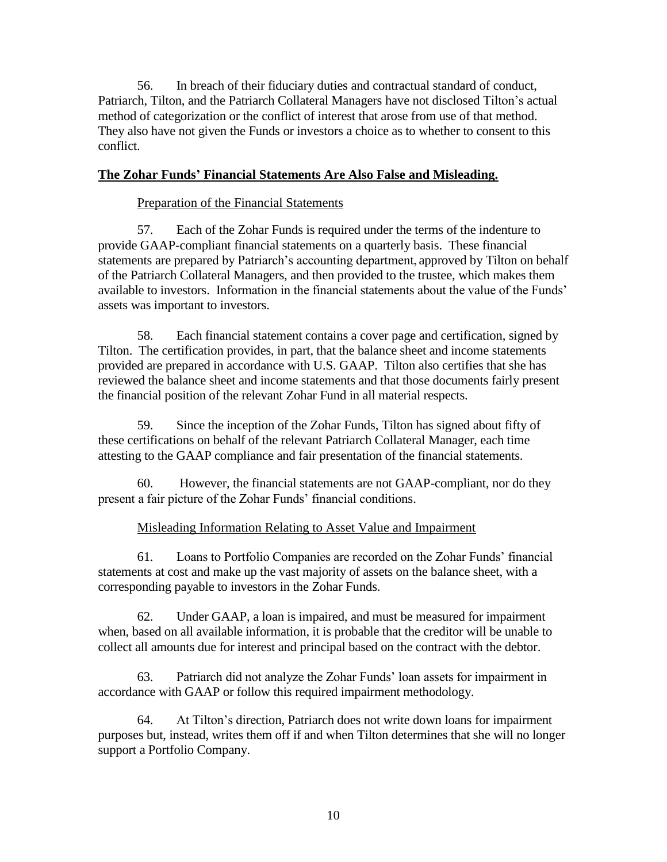56. In breach of their fiduciary duties and contractual standard of conduct, Patriarch, Tilton, and the Patriarch Collateral Managers have not disclosed Tilton's actual method of categorization or the conflict of interest that arose from use of that method. They also have not given the Funds or investors a choice as to whether to consent to this conflict.

## **The Zohar Funds' Financial Statements Are Also False and Misleading.**

#### Preparation of the Financial Statements

57. Each of the Zohar Funds is required under the terms of the indenture to provide GAAP-compliant financial statements on a quarterly basis. These financial statements are prepared by Patriarch's accounting department, approved by Tilton on behalf of the Patriarch Collateral Managers, and then provided to the trustee, which makes them available to investors. Information in the financial statements about the value of the Funds' assets was important to investors.

58. Each financial statement contains a cover page and certification, signed by Tilton. The certification provides, in part, that the balance sheet and income statements provided are prepared in accordance with U.S. GAAP. Tilton also certifies that she has reviewed the balance sheet and income statements and that those documents fairly present the financial position of the relevant Zohar Fund in all material respects.

59. Since the inception of the Zohar Funds, Tilton has signed about fifty of these certifications on behalf of the relevant Patriarch Collateral Manager, each time attesting to the GAAP compliance and fair presentation of the financial statements.

60. However, the financial statements are not GAAP-compliant, nor do they present a fair picture of the Zohar Funds' financial conditions.

#### Misleading Information Relating to Asset Value and Impairment

61. Loans to Portfolio Companies are recorded on the Zohar Funds' financial statements at cost and make up the vast majority of assets on the balance sheet, with a corresponding payable to investors in the Zohar Funds.

62. Under GAAP, a loan is impaired, and must be measured for impairment when, based on all available information, it is probable that the creditor will be unable to collect all amounts due for interest and principal based on the contract with the debtor.

63. Patriarch did not analyze the Zohar Funds' loan assets for impairment in accordance with GAAP or follow this required impairment methodology.

64. At Tilton's direction, Patriarch does not write down loans for impairment purposes but, instead, writes them off if and when Tilton determines that she will no longer support a Portfolio Company.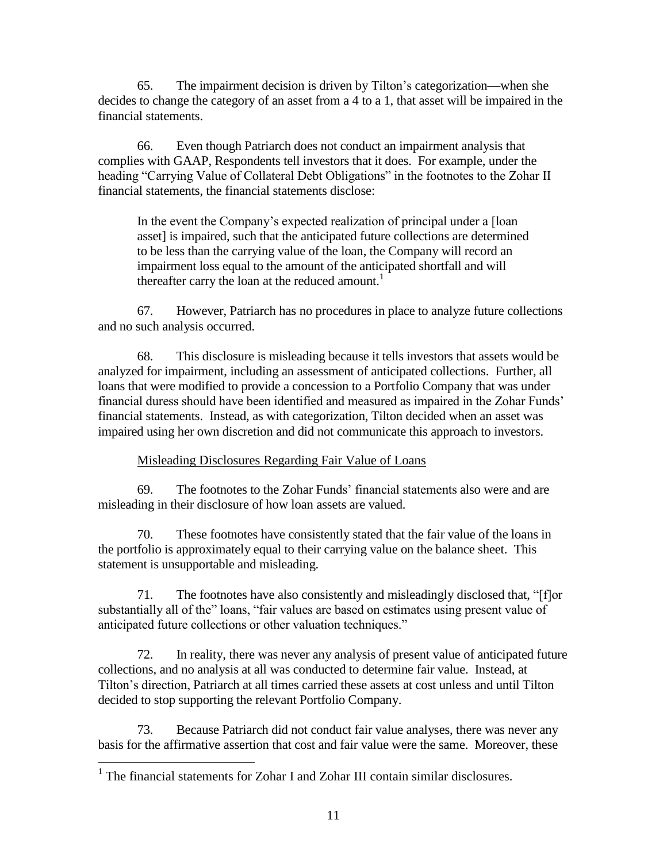65. The impairment decision is driven by Tilton's categorization—when she decides to change the category of an asset from a 4 to a 1, that asset will be impaired in the financial statements.

66. Even though Patriarch does not conduct an impairment analysis that complies with GAAP, Respondents tell investors that it does. For example, under the heading "Carrying Value of Collateral Debt Obligations" in the footnotes to the Zohar II financial statements, the financial statements disclose:

In the event the Company's expected realization of principal under a [loan asset] is impaired, such that the anticipated future collections are determined to be less than the carrying value of the loan, the Company will record an impairment loss equal to the amount of the anticipated shortfall and will thereafter carry the loan at the reduced amount.<sup>1</sup>

67. However, Patriarch has no procedures in place to analyze future collections and no such analysis occurred.

68. This disclosure is misleading because it tells investors that assets would be analyzed for impairment, including an assessment of anticipated collections. Further, all loans that were modified to provide a concession to a Portfolio Company that was under financial duress should have been identified and measured as impaired in the Zohar Funds' financial statements. Instead, as with categorization, Tilton decided when an asset was impaired using her own discretion and did not communicate this approach to investors.

Misleading Disclosures Regarding Fair Value of Loans

69. The footnotes to the Zohar Funds' financial statements also were and are misleading in their disclosure of how loan assets are valued.

70. These footnotes have consistently stated that the fair value of the loans in the portfolio is approximately equal to their carrying value on the balance sheet. This statement is unsupportable and misleading.

71. The footnotes have also consistently and misleadingly disclosed that, "[f]or substantially all of the" loans, "fair values are based on estimates using present value of anticipated future collections or other valuation techniques."

72. In reality, there was never any analysis of present value of anticipated future collections, and no analysis at all was conducted to determine fair value. Instead, at Tilton's direction, Patriarch at all times carried these assets at cost unless and until Tilton decided to stop supporting the relevant Portfolio Company.

73. Because Patriarch did not conduct fair value analyses, there was never any basis for the affirmative assertion that cost and fair value were the same. Moreover, these

 1 The financial statements for Zohar I and Zohar III contain similar disclosures.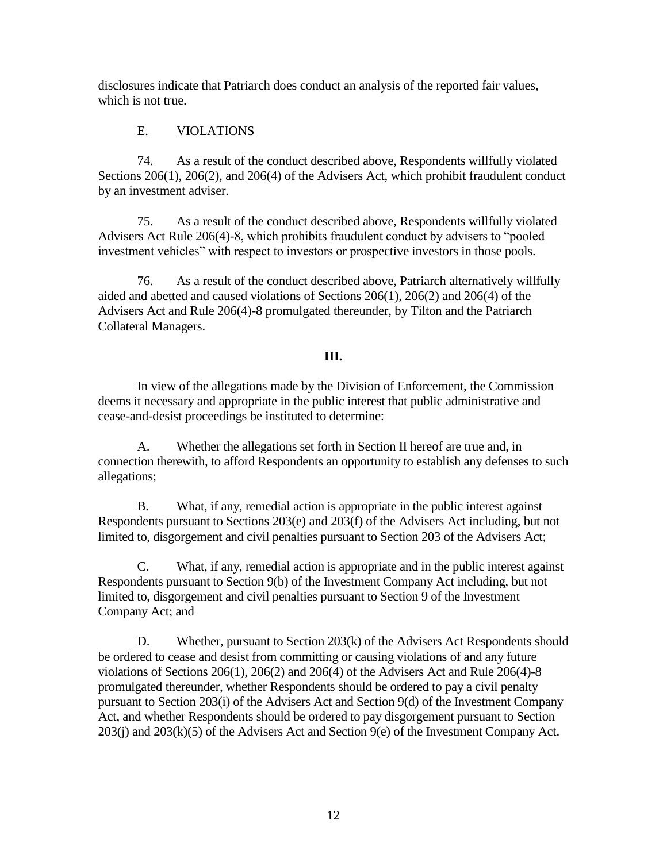disclosures indicate that Patriarch does conduct an analysis of the reported fair values, which is not true.

# E. VIOLATIONS

74. As a result of the conduct described above, Respondents willfully violated Sections 206(1), 206(2), and 206(4) of the Advisers Act, which prohibit fraudulent conduct by an investment adviser.

75. As a result of the conduct described above, Respondents willfully violated Advisers Act Rule 206(4)-8, which prohibits fraudulent conduct by advisers to "pooled investment vehicles" with respect to investors or prospective investors in those pools.

76. As a result of the conduct described above, Patriarch alternatively willfully aided and abetted and caused violations of Sections 206(1), 206(2) and 206(4) of the Advisers Act and Rule 206(4)-8 promulgated thereunder, by Tilton and the Patriarch Collateral Managers.

# **III.**

In view of the allegations made by the Division of Enforcement, the Commission deems it necessary and appropriate in the public interest that public administrative and cease-and-desist proceedings be instituted to determine:

A. Whether the allegations set forth in Section II hereof are true and, in connection therewith, to afford Respondents an opportunity to establish any defenses to such allegations;

B. What, if any, remedial action is appropriate in the public interest against Respondents pursuant to Sections 203(e) and 203(f) of the Advisers Act including, but not limited to, disgorgement and civil penalties pursuant to Section 203 of the Advisers Act;

C. What, if any, remedial action is appropriate and in the public interest against Respondents pursuant to Section 9(b) of the Investment Company Act including, but not limited to, disgorgement and civil penalties pursuant to Section 9 of the Investment Company Act; and

D. Whether, pursuant to Section 203(k) of the Advisers Act Respondents should be ordered to cease and desist from committing or causing violations of and any future violations of Sections 206(1), 206(2) and 206(4) of the Advisers Act and Rule 206(4)-8 promulgated thereunder, whether Respondents should be ordered to pay a civil penalty pursuant to Section 203(i) of the Advisers Act and Section 9(d) of the Investment Company Act, and whether Respondents should be ordered to pay disgorgement pursuant to Section  $203(i)$  and  $203(k)(5)$  of the Advisers Act and Section 9(e) of the Investment Company Act.